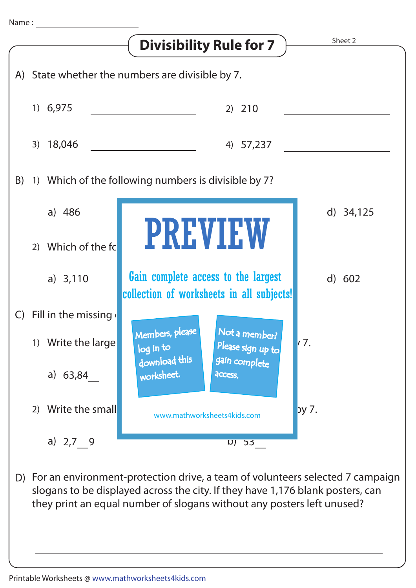|                                                  |                                                                                                                                                                                                                                           | <b>Divisibility Rule for 7</b>                                                      | Sheet 2   |
|--------------------------------------------------|-------------------------------------------------------------------------------------------------------------------------------------------------------------------------------------------------------------------------------------------|-------------------------------------------------------------------------------------|-----------|
|                                                  |                                                                                                                                                                                                                                           |                                                                                     |           |
| A) State whether the numbers are divisible by 7. |                                                                                                                                                                                                                                           |                                                                                     |           |
|                                                  | 1) 6,975                                                                                                                                                                                                                                  | $2)$ 210                                                                            |           |
|                                                  | 3) 18,046                                                                                                                                                                                                                                 | 4) 57,237                                                                           |           |
| B)                                               | 1) Which of the following numbers is divisible by 7?                                                                                                                                                                                      |                                                                                     |           |
|                                                  | a) 486                                                                                                                                                                                                                                    | <b>PREVIEW</b>                                                                      | d) 34,125 |
|                                                  | Which of the fo<br>2)                                                                                                                                                                                                                     |                                                                                     |           |
|                                                  | a) $3,110$                                                                                                                                                                                                                                | Gain complete access to the largest<br>collection of worksheets in all subjects!    | d) 602    |
| C)                                               | Fill in the missing                                                                                                                                                                                                                       |                                                                                     |           |
|                                                  | 1) Write the large                                                                                                                                                                                                                        | Members, please<br>Not a member?<br>Please sign up to<br>log in to<br>download this | 7.        |
|                                                  | a) $63,84$                                                                                                                                                                                                                                | gain complete<br>worksheet.<br>access.                                              |           |
|                                                  | Write the small<br>(2)                                                                                                                                                                                                                    | www.mathworksheets4kids.com                                                         | py7.      |
|                                                  | a) $2,7$ 9                                                                                                                                                                                                                                | $D$ $55$                                                                            |           |
| D)                                               | For an environment-protection drive, a team of volunteers selected 7 campaign<br>slogans to be displayed across the city. If they have 1,176 blank posters, can<br>they print an equal number of slogans without any posters left unused? |                                                                                     |           |